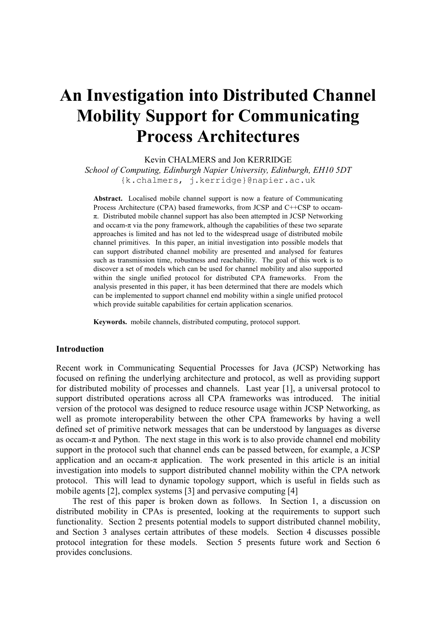# **An Investigation into Distributed Channel Mobility Support for Communicating Process Architectures**

Kevin CHALMERS and Jon KERRIDGE

*School of Computing, Edinburgh Napier University, Edinburgh, EH10 5DT* {k.chalmers, j.kerridge}@napier.ac.uk

**Abstract.** Localised mobile channel support is now a feature of Communicating Process Architecture (CPA) based frameworks, from JCSP and C++CSP to occam- $\pi$ . Distributed mobile channel support has also been attempted in JCSP Networking and occam- $\pi$  via the pony framework, although the capabilities of these two separate approaches is limited and has not led to the widespread usage of distributed mobile channel primitives. In this paper, an initial investigation into possible models that can support distributed channel mobility are presented and analysed for features such as transmission time, robustness and reachability. The goal of this work is to discover a set of models which can be used for channel mobility and also supported within the single unified protocol for distributed CPA frameworks. From the analysis presented in this paper, it has been determined that there are models which can be implemented to support channel end mobility within a single unified protocol which provide suitable capabilities for certain application scenarios.

**Keywords.** mobile channels, distributed computing, protocol support.

## **Introduction**

Recent work in Communicating Sequential Processes for Java (JCSP) Networking has focused on refining the underlying architecture and protocol, as well as providing support for distributed mobility of processes and channels. Last year [1], a universal protocol to support distributed operations across all CPA frameworks was introduced. The initial version of the protocol was designed to reduce resource usage within JCSP Networking, as well as promote interoperability between the other CPA frameworks by having a well defined set of primitive network messages that can be understood by languages as diverse as occam- $\pi$  and Python. The next stage in this work is to also provide channel end mobility support in the protocol such that channel ends can be passed between, for example, a JCSP application and an occam- $\pi$  application. The work presented in this article is an initial investigation into models to support distributed channel mobility within the CPA network protocol. This will lead to dynamic topology support, which is useful in fields such as mobile agents [2], complex systems [3] and pervasive computing [4]

The rest of this paper is broken down as follows. In Section 1, a discussion on distributed mobility in CPAs is presented, looking at the requirements to support such functionality. Section 2 presents potential models to support distributed channel mobility, and Section 3 analyses certain attributes of these models. Section 4 discusses possible protocol integration for these models. Section 5 presents future work and Section 6 provides conclusions.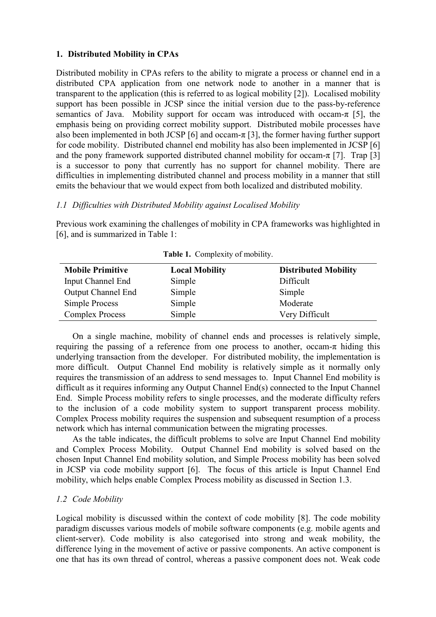# **1. Distributed Mobility in CPAs**

Distributed mobility in CPAs refers to the ability to migrate a process or channel end in a distributed CPA application from one network node to another in a manner that is transparent to the application (this is referred to as logical mobility [2]). Localised mobility support has been possible in JCSP since the initial version due to the pass-by-reference semantics of Java. Mobility support for occam was introduced with occam- $\pi$  [5], the emphasis being on providing correct mobility support. Distributed mobile processes have also been implemented in both JCSP [6] and occam- $\pi$  [3], the former having further support for code mobility. Distributed channel end mobility has also been implemented in JCSP [6] and the pony framework supported distributed channel mobility for occam- $\pi$  [7]. Trap [3] is a successor to pony that currently has no support for channel mobility. There are difficulties in implementing distributed channel and process mobility in a manner that still emits the behaviour that we would expect from both localized and distributed mobility.

# *1.1 Difficulties with Distributed Mobility against Localised Mobility*

Previous work examining the challenges of mobility in CPA frameworks was highlighted in [6], and is summarized in Table 1:

| <b>Mobile Primitive</b>   | <b>Local Mobility</b> | <b>Distributed Mobility</b> |
|---------------------------|-----------------------|-----------------------------|
| Input Channel End         | Simple                | Difficult                   |
| <b>Output Channel End</b> | Simple                | Simple                      |
| Simple Process            | Simple                | Moderate                    |
| <b>Complex Process</b>    | Simple                | Very Difficult              |

**Table 1.** Complexity of mobility.

On a single machine, mobility of channel ends and processes is relatively simple, requiring the passing of a reference from one process to another, occam- $\pi$  hiding this underlying transaction from the developer. For distributed mobility, the implementation is more difficult. Output Channel End mobility is relatively simple as it normally only requires the transmission of an address to send messages to. Input Channel End mobility is difficult as it requires informing any Output Channel End(s) connected to the Input Channel End. Simple Process mobility refers to single processes, and the moderate difficulty refers to the inclusion of a code mobility system to support transparent process mobility. Complex Process mobility requires the suspension and subsequent resumption of a process network which has internal communication between the migrating processes.

As the table indicates, the difficult problems to solve are Input Channel End mobility and Complex Process Mobility. Output Channel End mobility is solved based on the chosen Input Channel End mobility solution, and Simple Process mobility has been solved in JCSP via code mobility support [6]. The focus of this article is Input Channel End mobility, which helps enable Complex Process mobility as discussed in Section 1.3.

# *1.2 Code Mobility*

Logical mobility is discussed within the context of code mobility [8]. The code mobility paradigm discusses various models of mobile software components (e.g. mobile agents and client-server). Code mobility is also categorised into strong and weak mobility, the difference lying in the movement of active or passive components. An active component is one that has its own thread of control, whereas a passive component does not. Weak code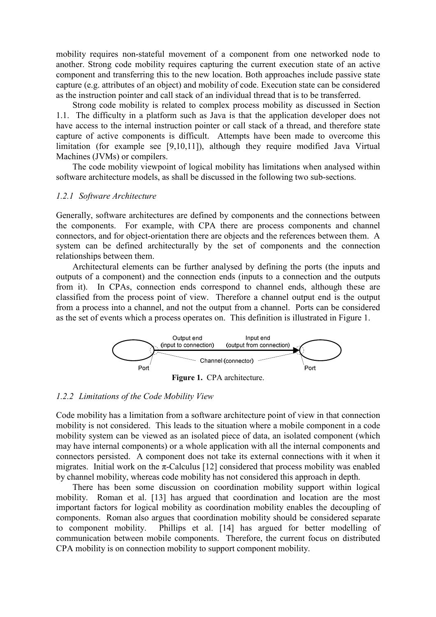mobility requires non-stateful movement of a component from one networked node to another. Strong code mobility requires capturing the current execution state of an active component and transferring this to the new location. Both approaches include passive state capture (e.g. attributes of an object) and mobility of code. Execution state can be considered as the instruction pointer and call stack of an individual thread that is to be transferred.

Strong code mobility is related to complex process mobility as discussed in Section 1.1. The difficulty in a platform such as Java is that the application developer does not have access to the internal instruction pointer or call stack of a thread, and therefore state capture of active components is difficult. Attempts have been made to overcome this limitation (for example see [9,10,11]), although they require modified Java Virtual Machines (JVMs) or compilers.

The code mobility viewpoint of logical mobility has limitations when analysed within software architecture models, as shall be discussed in the following two sub-sections.

#### *1.2.1 Software Architecture*

Generally, software architectures are defined by components and the connections between the components. For example, with CPA there are process components and channel connectors, and for object-orientation there are objects and the references between them. A system can be defined architecturally by the set of components and the connection relationships between them.

Architectural elements can be further analysed by defining the ports (the inputs and outputs of a component) and the connection ends (inputs to a connection and the outputs from it). In CPAs, connection ends correspond to channel ends, although these are classified from the process point of view. Therefore a channel output end is the output from a process into a channel, and not the output from a channel. Ports can be considered as the set of events which a process operates on. This definition is illustrated in Figure 1.





#### *1.2.2 Limitations of the Code Mobility View*

Code mobility has a limitation from a software architecture point of view in that connection mobility is not considered. This leads to the situation where a mobile component in a code mobility system can be viewed as an isolated piece of data, an isolated component (which may have internal components) or a whole application with all the internal components and connectors persisted. A component does not take its external connections with it when it migrates. Initial work on the  $\pi$ -Calculus [12] considered that process mobility was enabled by channel mobility, whereas code mobility has not considered this approach in depth.

There has been some discussion on coordination mobility support within logical mobility. Roman et al. [13] has argued that coordination and location are the most important factors for logical mobility as coordination mobility enables the decoupling of components. Roman also argues that coordination mobility should be considered separate to component mobility. Phillips et al. [14] has argued for better modelling of communication between mobile components. Therefore, the current focus on distributed CPA mobility is on connection mobility to support component mobility.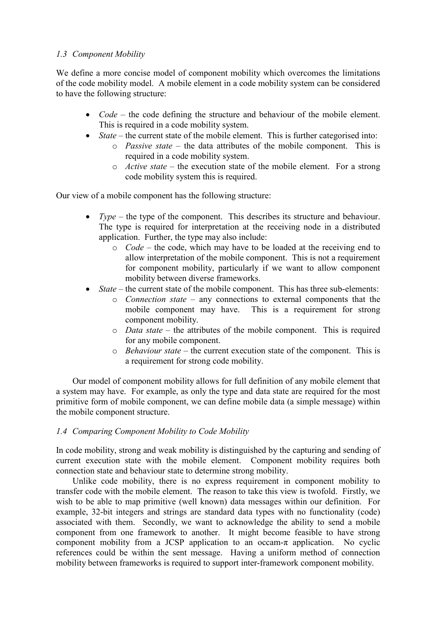# *1.3 Component Mobility*

We define a more concise model of component mobility which overcomes the limitations of the code mobility model. A mobile element in a code mobility system can be considered to have the following structure:

- *Code* the code defining the structure and behaviour of the mobile element. This is required in a code mobility system.
- *State* the current state of the mobile element. This is further categorised into:
	- o *Passive state*  the data attributes of the mobile component. This is required in a code mobility system.
	- o *Active state*  the execution state of the mobile element. For a strong code mobility system this is required.

Our view of a mobile component has the following structure:

- *Type*  the type of the component. This describes its structure and behaviour. The type is required for interpretation at the receiving node in a distributed application. Further, the type may also include:
	- o *Code*  the code, which may have to be loaded at the receiving end to allow interpretation of the mobile component. This is not a requirement for component mobility, particularly if we want to allow component mobility between diverse frameworks.
- State the current state of the mobile component. This has three sub-elements:
	- o *Connection state*  any connections to external components that the mobile component may have. This is a requirement for strong component mobility.
	- o *Data state*  the attributes of the mobile component. This is required for any mobile component.
	- o *Behaviour state*  the current execution state of the component. This is a requirement for strong code mobility.

Our model of component mobility allows for full definition of any mobile element that a system may have. For example, as only the type and data state are required for the most primitive form of mobile component, we can define mobile data (a simple message) within the mobile component structure.

# *1.4 Comparing Component Mobility to Code Mobility*

In code mobility, strong and weak mobility is distinguished by the capturing and sending of current execution state with the mobile element. Component mobility requires both connection state and behaviour state to determine strong mobility.

Unlike code mobility, there is no express requirement in component mobility to transfer code with the mobile element. The reason to take this view is twofold. Firstly, we wish to be able to map primitive (well known) data messages within our definition. For example, 32-bit integers and strings are standard data types with no functionality (code) associated with them. Secondly, we want to acknowledge the ability to send a mobile component from one framework to another. It might become feasible to have strong component mobility from a JCSP application to an occam- $\pi$  application. No cyclic references could be within the sent message. Having a uniform method of connection mobility between frameworks is required to support inter-framework component mobility.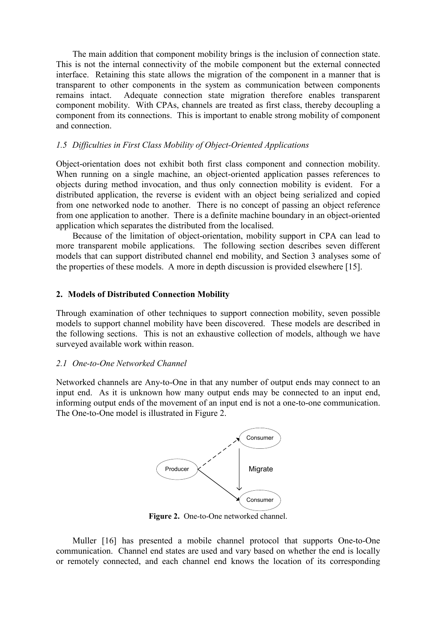The main addition that component mobility brings is the inclusion of connection state. This is not the internal connectivity of the mobile component but the external connected interface. Retaining this state allows the migration of the component in a manner that is transparent to other components in the system as communication between components remains intact. Adequate connection state migration therefore enables transparent component mobility. With CPAs, channels are treated as first class, thereby decoupling a component from its connections. This is important to enable strong mobility of component and connection.

# *1.5 Difficulties in First Class Mobility of Object-Oriented Applications*

Object-orientation does not exhibit both first class component and connection mobility. When running on a single machine, an object-oriented application passes references to objects during method invocation, and thus only connection mobility is evident. For a distributed application, the reverse is evident with an object being serialized and copied from one networked node to another. There is no concept of passing an object reference from one application to another. There is a definite machine boundary in an object-oriented application which separates the distributed from the localised.

Because of the limitation of object-orientation, mobility support in CPA can lead to more transparent mobile applications. The following section describes seven different models that can support distributed channel end mobility, and Section 3 analyses some of the properties of these models. A more in depth discussion is provided elsewhere [15].

#### **2. Models of Distributed Connection Mobility**

Through examination of other techniques to support connection mobility, seven possible models to support channel mobility have been discovered. These models are described in the following sections. This is not an exhaustive collection of models, although we have surveyed available work within reason.

#### 2.1 One-to-One Networked Channel

Networked channels are Any-to-One in that any number of output ends may connect to an input end. As it is unknown how many output ends may be connected to an input end, informing output ends of the movement of an input end is not a one-to-one communication. The One-to-One model is illustrated in Figure 2.



**Figure 2.** One-to-One networked channel.

Muller [16] has presented a mobile channel protocol that supports One-to-One communication. Channel end states are used and vary based on whether the end is locally or remotely connected, and each channel end knows the location of its corresponding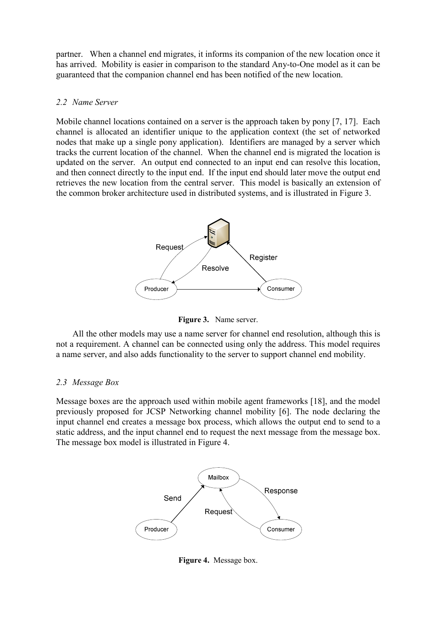partner. When a channel end migrates, it informs its companion of the new location once it has arrived. Mobility is easier in comparison to the standard Any-to-One model as it can be guaranteed that the companion channel end has been notified of the new location.

## *2.2 ame Server*

Mobile channel locations contained on a server is the approach taken by pony [7, 17]. Each channel is allocated an identifier unique to the application context (the set of networked nodes that make up a single pony application). Identifiers are managed by a server which tracks the current location of the channel. When the channel end is migrated the location is updated on the server. An output end connected to an input end can resolve this location, and then connect directly to the input end. If the input end should later move the output end retrieves the new location from the central server. This model is basically an extension of the common broker architecture used in distributed systems, and is illustrated in Figure 3.



**Figure 3.** Name server.

All the other models may use a name server for channel end resolution, although this is not a requirement. A channel can be connected using only the address. This model requires a name server, and also adds functionality to the server to support channel end mobility.

# *2.3 Message Box*

Message boxes are the approach used within mobile agent frameworks [18], and the model previously proposed for JCSP Networking channel mobility [6]. The node declaring the input channel end creates a message box process, which allows the output end to send to a static address, and the input channel end to request the next message from the message box. The message box model is illustrated in Figure 4.



**Figure 4.** Message box.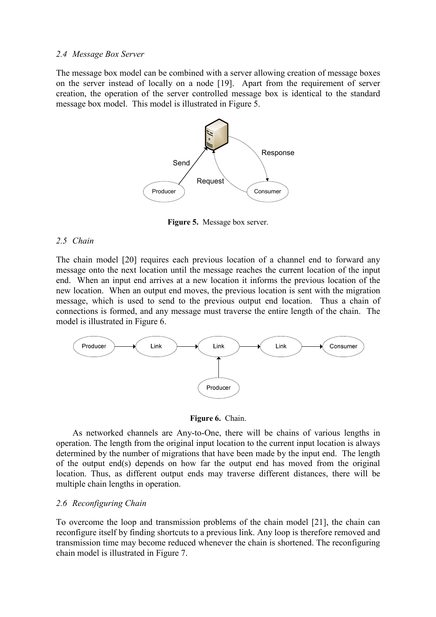## *2.4 Message Box Server*

The message box model can be combined with a server allowing creation of message boxes on the server instead of locally on a node [19]. Apart from the requirement of server creation, the operation of the server controlled message box is identical to the standard message box model. This model is illustrated in Figure 5.



**Figure 5.** Message box server.

# *2.5 Chain*

The chain model [20] requires each previous location of a channel end to forward any message onto the next location until the message reaches the current location of the input end. When an input end arrives at a new location it informs the previous location of the new location. When an output end moves, the previous location is sent with the migration message, which is used to send to the previous output end location. Thus a chain of connections is formed, and any message must traverse the entire length of the chain. The model is illustrated in Figure 6.



#### **Figure 6.** Chain.

As networked channels are Any-to-One, there will be chains of various lengths in operation. The length from the original input location to the current input location is always determined by the number of migrations that have been made by the input end. The length of the output end(s) depends on how far the output end has moved from the original location. Thus, as different output ends may traverse different distances, there will be multiple chain lengths in operation.

#### *2.6 Reconfiguring Chain*

To overcome the loop and transmission problems of the chain model [21], the chain can reconfigure itself by finding shortcuts to a previous link. Any loop is therefore removed and transmission time may become reduced whenever the chain is shortened. The reconfiguring chain model is illustrated in Figure 7.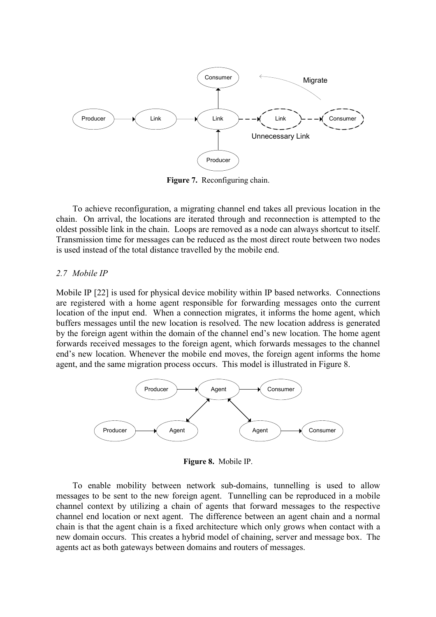

**Figure 7.** Reconfiguring chain.

To achieve reconfiguration, a migrating channel end takes all previous location in the chain. On arrival, the locations are iterated through and reconnection is attempted to the oldest possible link in the chain. Loops are removed as a node can always shortcut to itself. Transmission time for messages can be reduced as the most direct route between two nodes is used instead of the total distance travelled by the mobile end.

## *2.7 Mobile IP*

Mobile IP [22] is used for physical device mobility within IP based networks. Connections are registered with a home agent responsible for forwarding messages onto the current location of the input end. When a connection migrates, it informs the home agent, which buffers messages until the new location is resolved. The new location address is generated by the foreign agent within the domain of the channel end's new location. The home agent forwards received messages to the foreign agent, which forwards messages to the channel end's new location. Whenever the mobile end moves, the foreign agent informs the home agent, and the same migration process occurs. This model is illustrated in Figure 8.



**Figure 8.** Mobile IP.

To enable mobility between network sub-domains, tunnelling is used to allow messages to be sent to the new foreign agent. Tunnelling can be reproduced in a mobile channel context by utilizing a chain of agents that forward messages to the respective channel end location or next agent. The difference between an agent chain and a normal chain is that the agent chain is a fixed architecture which only grows when contact with a new domain occurs. This creates a hybrid model of chaining, server and message box. The agents act as both gateways between domains and routers of messages.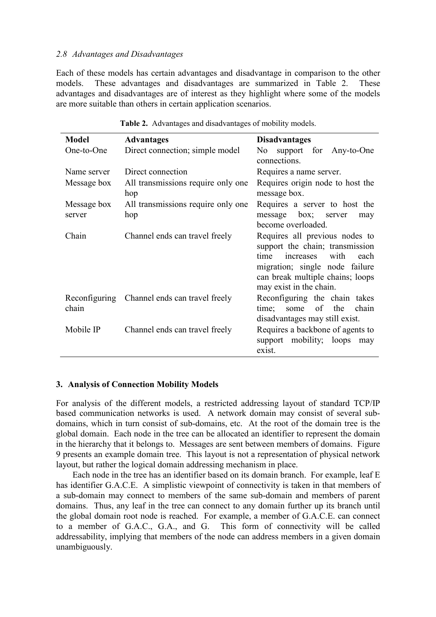## *2.8 Advantages and Disadvantages*

Each of these models has certain advantages and disadvantage in comparison to the other models. These advantages and disadvantages are summarized in Table 2. These advantages and disadvantages are of interest as they highlight where some of the models are more suitable than others in certain application scenarios.

| <b>Model</b> | <b>Advantages</b>                            | <b>Disadvantages</b>                                              |  |
|--------------|----------------------------------------------|-------------------------------------------------------------------|--|
| One-to-One   | Direct connection; simple model              | No support for Any-to-One                                         |  |
|              |                                              | connections.                                                      |  |
| Name server  | Direct connection                            | Requires a name server.                                           |  |
| Message box  | All transmissions require only one<br>hop    | Requires origin node to host the<br>message box.                  |  |
| Message box  | All transmissions require only one.          | Requires a server to host the                                     |  |
| server       | hop                                          | message box; server<br>may                                        |  |
|              |                                              | become overloaded.                                                |  |
| Chain        | Channel ends can travel freely               | Requires all previous nodes to<br>support the chain; transmission |  |
|              |                                              | increases with<br>time<br>each                                    |  |
|              |                                              | migration; single node failure                                    |  |
|              |                                              | can break multiple chains; loops<br>may exist in the chain.       |  |
|              | Reconfiguring Channel ends can travel freely | Reconfiguring the chain takes                                     |  |
| chain        |                                              | some of the chain<br>time;                                        |  |
|              |                                              | disadvantages may still exist.                                    |  |
| Mobile IP    | Channel ends can travel freely               | Requires a backbone of agents to                                  |  |
|              |                                              | support mobility; loops may                                       |  |
|              |                                              | exist.                                                            |  |

**Table 2.** Advantages and disadvantages of mobility models.

# **3. Analysis of Connection Mobility Models**

For analysis of the different models, a restricted addressing layout of standard TCP/IP based communication networks is used. A network domain may consist of several subdomains, which in turn consist of sub-domains, etc. At the root of the domain tree is the global domain. Each node in the tree can be allocated an identifier to represent the domain in the hierarchy that it belongs to. Messages are sent between members of domains. Figure 9 presents an example domain tree. This layout is not a representation of physical network layout, but rather the logical domain addressing mechanism in place.

Each node in the tree has an identifier based on its domain branch. For example, leaf E has identifier G.A.C.E. A simplistic viewpoint of connectivity is taken in that members of a sub-domain may connect to members of the same sub-domain and members of parent domains. Thus, any leaf in the tree can connect to any domain further up its branch until the global domain root node is reached. For example, a member of G.A.C.E. can connect to a member of G.A.C., G.A., and G. This form of connectivity will be called addressability, implying that members of the node can address members in a given domain unambiguously.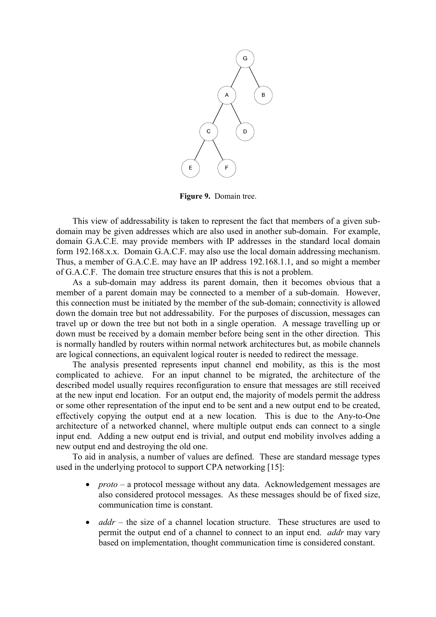

**Figure 9.** Domain tree.

This view of addressability is taken to represent the fact that members of a given subdomain may be given addresses which are also used in another sub-domain. For example, domain G.A.C.E. may provide members with IP addresses in the standard local domain form 192.168.x.x. Domain G.A.C.F. may also use the local domain addressing mechanism. Thus, a member of G.A.C.E. may have an IP address 192.168.1.1, and so might a member of G.A.C.F. The domain tree structure ensures that this is not a problem.

As a sub-domain may address its parent domain, then it becomes obvious that a member of a parent domain may be connected to a member of a sub-domain. However, this connection must be initiated by the member of the sub-domain; connectivity is allowed down the domain tree but not addressability. For the purposes of discussion, messages can travel up or down the tree but not both in a single operation. A message travelling up or down must be received by a domain member before being sent in the other direction. This is normally handled by routers within normal network architectures but, as mobile channels are logical connections, an equivalent logical router is needed to redirect the message.

The analysis presented represents input channel end mobility, as this is the most complicated to achieve. For an input channel to be migrated, the architecture of the described model usually requires reconfiguration to ensure that messages are still received at the new input end location. For an output end, the majority of models permit the address or some other representation of the input end to be sent and a new output end to be created, effectively copying the output end at a new location. This is due to the Any-to-One architecture of a networked channel, where multiple output ends can connect to a single input end. Adding a new output end is trivial, and output end mobility involves adding a new output end and destroying the old one.

To aid in analysis, a number of values are defined. These are standard message types used in the underlying protocol to support CPA networking [15]:

- *proto* a protocol message without any data. Acknowledgement messages are also considered protocol messages. As these messages should be of fixed size, communication time is constant.
- *addr* the size of a channel location structure. These structures are used to permit the output end of a channel to connect to an input end. *addr* may vary based on implementation, thought communication time is considered constant.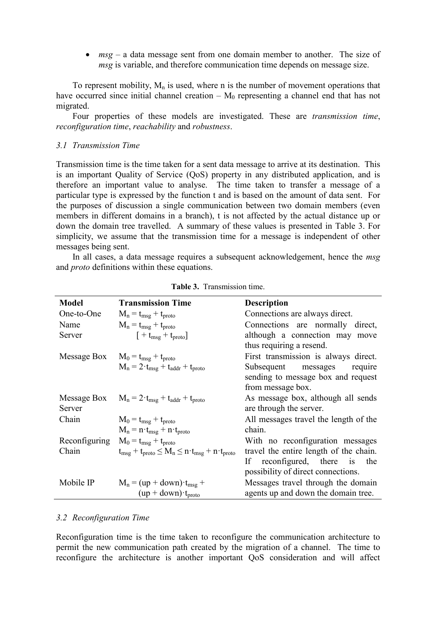• *msg* – a data message sent from one domain member to another. The size of *msg* is variable, and therefore communication time depends on message size.

To represent mobility,  $M_n$  is used, where n is the number of movement operations that have occurred since initial channel creation –  $M_0$  representing a channel end that has not migrated.

Four properties of these models are investigated. These are *transmission time*, *reconfiguration time*, *reachability* and *robustness*.

## *3.1 Transmission Time*

Transmission time is the time taken for a sent data message to arrive at its destination. This is an important Quality of Service (QoS) property in any distributed application, and is therefore an important value to analyse. The time taken to transfer a message of a particular type is expressed by the function t and is based on the amount of data sent. For the purposes of discussion a single communication between two domain members (even members in different domains in a branch), t is not affected by the actual distance up or down the domain tree travelled. A summary of these values is presented in Table 3. For simplicity, we assume that the transmission time for a message is independent of other messages being sent.

In all cases, a data message requires a subsequent acknowledgement, hence the *msg* and *proto* definitions within these equations.

| <b>Model</b>  | <b>Transmission Time</b>                                                                            | <b>Description</b>                                                                        |
|---------------|-----------------------------------------------------------------------------------------------------|-------------------------------------------------------------------------------------------|
| One-to-One    | $M_n = t_{msg} + t_{proto}$                                                                         | Connections are always direct.                                                            |
| Name          | $M_n = t_{msg} + t_{proto}$                                                                         | Connections are normally direct,                                                          |
| Server        | $[ + t_{\text{msg}} + t_{\text{proto}} ]$                                                           | although a connection may move<br>thus requiring a resend.                                |
| Message Box   | $M_0 = t_{\text{msg}} + t_{\text{proto}}$                                                           | First transmission is always direct.                                                      |
|               | $M_n = 2 \cdot t_{msg} + t_{addr} + t_{proto}$                                                      | Subsequent messages<br>require<br>sending to message box and request<br>from message box. |
| Message Box   | $M_n = 2 \cdot t_{\text{msg}} + t_{\text{addr}} + t_{\text{proto}}$                                 | As message box, although all sends                                                        |
| Server        |                                                                                                     | are through the server.                                                                   |
| Chain         | $M_0 = t_{\text{msg}} + t_{\text{proto}}$                                                           | All messages travel the length of the                                                     |
|               | $M_n = n \cdot t_{msg} + n \cdot t_{proto}$                                                         | chain.                                                                                    |
| Reconfiguring | $M_0 = t_{\text{msg}} + t_{\text{proto}}$                                                           | With no reconfiguration messages                                                          |
| Chain         | $t_{\text{msg}} + t_{\text{proto}} \leq M_n \leq n \cdot t_{\text{msg}} + n \cdot t_{\text{proto}}$ | travel the entire length of the chain.                                                    |
|               |                                                                                                     | If reconfigured, there is<br>the<br>possibility of direct connections.                    |
| Mobile IP     | $M_n = (up + down) \cdot t_{msg} +$                                                                 | Messages travel through the domain                                                        |
|               | $(up + down) \cdot t_{proto}$                                                                       | agents up and down the domain tree.                                                       |

**Table 3.** Transmission time.

#### *3.2 Reconfiguration Time*

Reconfiguration time is the time taken to reconfigure the communication architecture to permit the new communication path created by the migration of a channel. The time to reconfigure the architecture is another important QoS consideration and will affect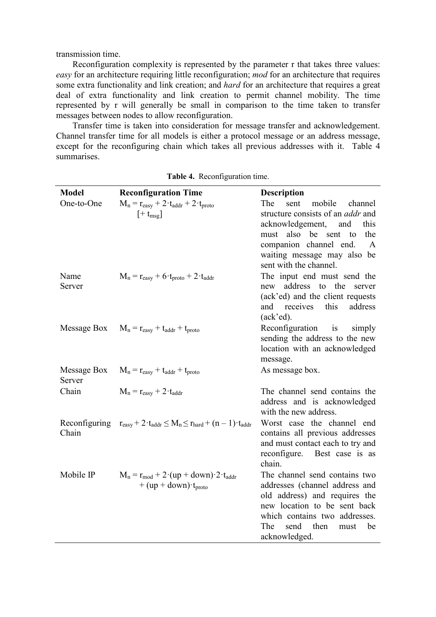transmission time.

Reconfiguration complexity is represented by the parameter r that takes three values: *easy* for an architecture requiring little reconfiguration; *mod* for an architecture that requires some extra functionality and link creation; and *hard* for an architecture that requires a great deal of extra functionality and link creation to permit channel mobility. The time represented by r will generally be small in comparison to the time taken to transfer messages between nodes to allow reconfiguration.

Transfer time is taken into consideration for message transfer and acknowledgement. Channel transfer time for all models is either a protocol message or an address message, except for the reconfiguring chain which takes all previous addresses with it. Table 4 summarises.

| <b>Model</b>         | <b>Reconfiguration Time</b>                                                                               | <b>Description</b>                                                           |
|----------------------|-----------------------------------------------------------------------------------------------------------|------------------------------------------------------------------------------|
| One-to-One           | $M_n = r_{easy} + 2 \cdot t_{addr} + 2 \cdot t_{proto}$<br>$[+t_{\rm{msg}}]$                              | The<br>sent<br>mobile<br>channel<br>structure consists of an <i>addr</i> and |
|                      |                                                                                                           | acknowledgement,<br>this<br>and                                              |
|                      |                                                                                                           | must also be sent to<br>the                                                  |
|                      |                                                                                                           | companion channel end.<br>A                                                  |
|                      |                                                                                                           | waiting message may also be                                                  |
|                      |                                                                                                           | sent with the channel.                                                       |
| Name                 | $M_n = r_{easy} + 6 \cdot t_{proto} + 2 \cdot t_{addr}$                                                   | The input end must send the                                                  |
| Server               |                                                                                                           | address to the<br>new<br>server                                              |
|                      |                                                                                                           | (ack'ed) and the client requests                                             |
|                      |                                                                                                           | and receives this<br>address                                                 |
|                      |                                                                                                           | $(\text{ack} \text{'ed})$ .                                                  |
| Message Box          | $M_n = r_{easy} + t_{addr} + t_{proto}$                                                                   | Reconfiguration<br><i>is</i><br>simply<br>sending the address to the new     |
|                      |                                                                                                           | location with an acknowledged                                                |
|                      |                                                                                                           | message.                                                                     |
| Message Box          | $M_n = r_{easy} + t_{addr} + t_{proto}$                                                                   | As message box.                                                              |
| Server               |                                                                                                           |                                                                              |
| Chain                | $M_n = r_{easy} + 2 \cdot t_{addr}$                                                                       | The channel send contains the                                                |
|                      |                                                                                                           | address and is acknowledged                                                  |
|                      |                                                                                                           | with the new address.                                                        |
| <b>Reconfiguring</b> | $r_{\text{easy}} + 2 \cdot t_{\text{addr}} \leq M_n \leq r_{\text{hard}} + (n - 1) \cdot t_{\text{addr}}$ | Worst case the channel end                                                   |
| Chain                |                                                                                                           | contains all previous addresses                                              |
|                      |                                                                                                           | and must contact each to try and                                             |
|                      |                                                                                                           | reconfigure. Best case is as                                                 |
|                      |                                                                                                           | chain.                                                                       |
| Mobile IP            | $M_n = r_{mod} + 2 \cdot (up + down) \cdot 2 \cdot t_{addr}$                                              | The channel send contains two<br>addresses (channel address and              |
|                      | $+ (up + down) \cdot t_{proto}$                                                                           | old address) and requires the                                                |
|                      |                                                                                                           | new location to be sent back                                                 |
|                      |                                                                                                           | which contains two addresses.                                                |
|                      |                                                                                                           | then<br>The<br>send<br>must<br>be                                            |
|                      |                                                                                                           | acknowledged.                                                                |
|                      |                                                                                                           |                                                                              |

**Table 4.** Reconfiguration time.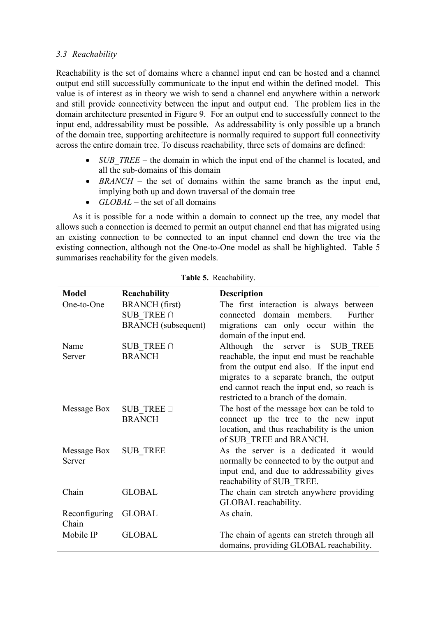# *3.3 Reachability*

Reachability is the set of domains where a channel input end can be hosted and a channel output end still successfully communicate to the input end within the defined model. This value is of interest as in theory we wish to send a channel end anywhere within a network and still provide connectivity between the input and output end. The problem lies in the domain architecture presented in Figure 9. For an output end to successfully connect to the input end, addressability must be possible. As addressability is only possible up a branch of the domain tree, supporting architecture is normally required to support full connectivity across the entire domain tree. To discuss reachability, three sets of domains are defined:

- *SUB\_TREE* the domain in which the input end of the channel is located, and all the sub-domains of this domain
- *BRANCH* the set of domains within the same branch as the input end, implying both up and down traversal of the domain tree
- $GLOBAL$  the set of all domains

As it is possible for a node within a domain to connect up the tree, any model that allows such a connection is deemed to permit an output channel end that has migrated using an existing connection to be connected to an input channel end down the tree via the existing connection, although not the One-to-One model as shall be highlighted. Table 5 summarises reachability for the given models.

| <b>Model</b>           | Reachability                        | <b>Description</b>                                                                                                                                                                                                            |
|------------------------|-------------------------------------|-------------------------------------------------------------------------------------------------------------------------------------------------------------------------------------------------------------------------------|
| One-to-One             | <b>BRANCH</b> (first)<br>SUB TREE O | The first interaction is always between<br>domain members.<br>connected<br>Further                                                                                                                                            |
|                        | <b>BRANCH</b> (subsequent)          | migrations can only occur within the<br>domain of the input end.                                                                                                                                                              |
| Name                   | SUB TREE O                          | Although the server is SUB TREE                                                                                                                                                                                               |
| Server                 | <b>BRANCH</b>                       | reachable, the input end must be reachable<br>from the output end also. If the input end<br>migrates to a separate branch, the output<br>end cannot reach the input end, so reach is<br>restricted to a branch of the domain. |
| Message Box            | <b>SUB TREE</b><br><b>BRANCH</b>    | The host of the message box can be told to<br>connect up the tree to the new input<br>location, and thus reachability is the union<br>of SUB TREE and BRANCH.                                                                 |
| Message Box<br>Server  | <b>SUB TREE</b>                     | As the server is a dedicated it would<br>normally be connected to by the output and<br>input end, and due to addressability gives<br>reachability of SUB TREE.                                                                |
| Chain                  | <b>GLOBAL</b>                       | The chain can stretch anywhere providing<br>GLOBAL reachability.                                                                                                                                                              |
| Reconfiguring<br>Chain | <b>GLOBAL</b>                       | As chain.                                                                                                                                                                                                                     |
| Mobile IP              | <b>GLOBAL</b>                       | The chain of agents can stretch through all<br>domains, providing GLOBAL reachability.                                                                                                                                        |

| Table 5. Reachability. |  |
|------------------------|--|
|------------------------|--|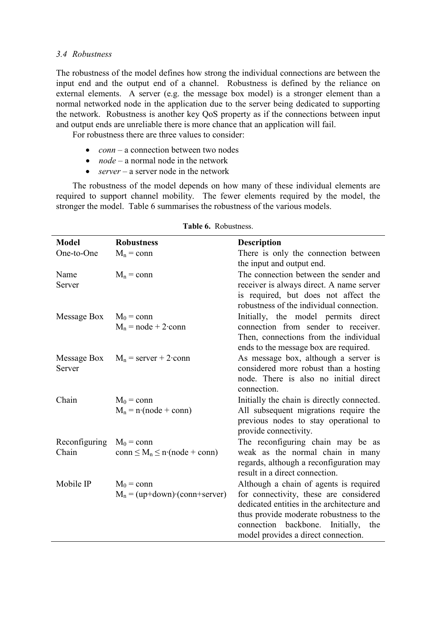## *3.4 Robustness*

The robustness of the model defines how strong the individual connections are between the input end and the output end of a channel. Robustness is defined by the reliance on external elements. A server (e.g. the message box model) is a stronger element than a normal networked node in the application due to the server being dedicated to supporting the network. Robustness is another key QoS property as if the connections between input and output ends are unreliable there is more chance that an application will fail.

For robustness there are three values to consider:

- *conn* a connection between two nodes
- *node* a normal node in the network
- *server* a server node in the network

The robustness of the model depends on how many of these individual elements are required to support channel mobility. The fewer elements required by the model, the stronger the model. Table 6 summarises the robustness of the various models.

| <b>Model</b>  | <b>Robustness</b>                          | <b>Description</b>                         |
|---------------|--------------------------------------------|--------------------------------------------|
| One-to-One    | $M_n = \text{conn}$                        | There is only the connection between       |
|               |                                            | the input and output end.                  |
| Name          | $M_n = \text{conn}$                        | The connection between the sender and      |
| Server        |                                            | receiver is always direct. A name server   |
|               |                                            | is required, but does not affect the       |
|               |                                            | robustness of the individual connection.   |
| Message Box   | $M_0 = \text{conn}$                        | Initially, the model permits direct        |
|               | $M_n$ = node + 2·conn                      | connection from sender to receiver.        |
|               |                                            | Then, connections from the individual      |
|               |                                            | ends to the message box are required.      |
| Message Box   | $M_n$ = server + 2·conn                    | As message box, although a server is       |
| Server        |                                            | considered more robust than a hosting      |
|               |                                            | node. There is also no initial direct      |
|               |                                            | connection.                                |
| Chain         | $M_0 = \text{conn}$                        | Initially the chain is directly connected. |
|               | $M_n = n \cdot (node + conn)$              | All subsequent migrations require the      |
|               |                                            | previous nodes to stay operational to      |
|               |                                            | provide connectivity.                      |
| Reconfiguring | $M_0 = \text{conn}$                        | The reconfiguring chain may be as          |
| Chain         | $conn \leq M_n \leq n \cdot (node + conn)$ | weak as the normal chain in many           |
|               |                                            | regards, although a reconfiguration may    |
|               |                                            | result in a direct connection.             |
| Mobile IP     | $M_0 = \text{conn}$                        | Although a chain of agents is required     |
|               | $M_n = (up+down)\cdot (conn+server)$       | for connectivity, these are considered     |
|               |                                            | dedicated entities in the architecture and |
|               |                                            | thus provide moderate robustness to the    |
|               |                                            | connection backbone. Initially, the        |
|               |                                            | model provides a direct connection.        |

#### **Table 6.** Robustness.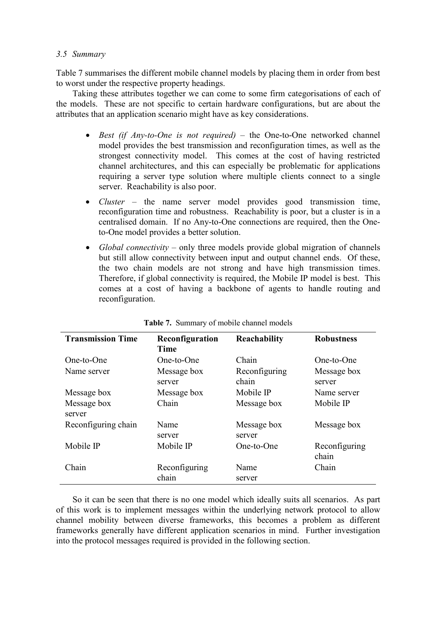## *3.5 Summary*

Table 7 summarises the different mobile channel models by placing them in order from best to worst under the respective property headings.

Taking these attributes together we can come to some firm categorisations of each of the models. These are not specific to certain hardware configurations, but are about the attributes that an application scenario might have as key considerations.

- *Best (if Any-to-One is not required)* the One-to-One networked channel model provides the best transmission and reconfiguration times, as well as the strongest connectivity model. This comes at the cost of having restricted channel architectures, and this can especially be problematic for applications requiring a server type solution where multiple clients connect to a single server. Reachability is also poor.
- *Cluster*  the name server model provides good transmission time, reconfiguration time and robustness. Reachability is poor, but a cluster is in a centralised domain. If no Any-to-One connections are required, then the Oneto-One model provides a better solution.
- *Global connectivity* only three models provide global migration of channels but still allow connectivity between input and output channel ends. Of these, the two chain models are not strong and have high transmission times. Therefore, if global connectivity is required, the Mobile IP model is best. This comes at a cost of having a backbone of agents to handle routing and reconfiguration.

| <b>Transmission Time</b> | Reconfiguration<br><b>Time</b> | Reachability           | <b>Robustness</b>      |
|--------------------------|--------------------------------|------------------------|------------------------|
| $One-to-One$             | One-to-One                     | Chain                  | $One-to-One$           |
| Name server              | Message box<br>server          | Reconfiguring<br>chain | Message box<br>server  |
| Message box              | Message box                    | Mobile IP              | Name server            |
| Message box<br>server    | Chain                          | Message box            | Mobile IP              |
| Reconfiguring chain      | Name<br>server                 | Message box<br>server  | Message box            |
| Mobile IP                | Mobile IP                      | One-to-One             | Reconfiguring<br>chain |
| Chain                    | Reconfiguring<br>chain         | Name<br>server         | Chain                  |

**Table 7.** Summary of mobile channel models

So it can be seen that there is no one model which ideally suits all scenarios. As part of this work is to implement messages within the underlying network protocol to allow channel mobility between diverse frameworks, this becomes a problem as different frameworks generally have different application scenarios in mind. Further investigation into the protocol messages required is provided in the following section.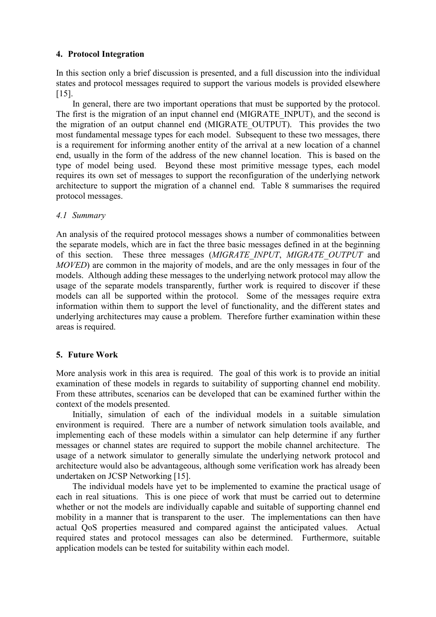# **4. Protocol Integration**

In this section only a brief discussion is presented, and a full discussion into the individual states and protocol messages required to support the various models is provided elsewhere [15].

In general, there are two important operations that must be supported by the protocol. The first is the migration of an input channel end (MIGRATE\_INPUT), and the second is the migration of an output channel end (MIGRATE\_OUTPUT). This provides the two most fundamental message types for each model. Subsequent to these two messages, there is a requirement for informing another entity of the arrival at a new location of a channel end, usually in the form of the address of the new channel location. This is based on the type of model being used. Beyond these most primitive message types, each model requires its own set of messages to support the reconfiguration of the underlying network architecture to support the migration of a channel end. Table 8 summarises the required protocol messages.

# *4.1 Summary*

An analysis of the required protocol messages shows a number of commonalities between the separate models, which are in fact the three basic messages defined in at the beginning of this section. These three messages (*MIGRATE\_IPUT*, *MIGRATE\_OUTPUT* and *MOVED*) are common in the majority of models, and are the only messages in four of the models. Although adding these messages to the underlying network protocol may allow the usage of the separate models transparently, further work is required to discover if these models can all be supported within the protocol. Some of the messages require extra information within them to support the level of functionality, and the different states and underlying architectures may cause a problem. Therefore further examination within these areas is required.

# **5. Future Work**

More analysis work in this area is required. The goal of this work is to provide an initial examination of these models in regards to suitability of supporting channel end mobility. From these attributes, scenarios can be developed that can be examined further within the context of the models presented.

Initially, simulation of each of the individual models in a suitable simulation environment is required. There are a number of network simulation tools available, and implementing each of these models within a simulator can help determine if any further messages or channel states are required to support the mobile channel architecture. The usage of a network simulator to generally simulate the underlying network protocol and architecture would also be advantageous, although some verification work has already been undertaken on JCSP Networking [15].

The individual models have yet to be implemented to examine the practical usage of each in real situations. This is one piece of work that must be carried out to determine whether or not the models are individually capable and suitable of supporting channel end mobility in a manner that is transparent to the user. The implementations can then have actual QoS properties measured and compared against the anticipated values. Actual required states and protocol messages can also be determined. Furthermore, suitable application models can be tested for suitability within each model.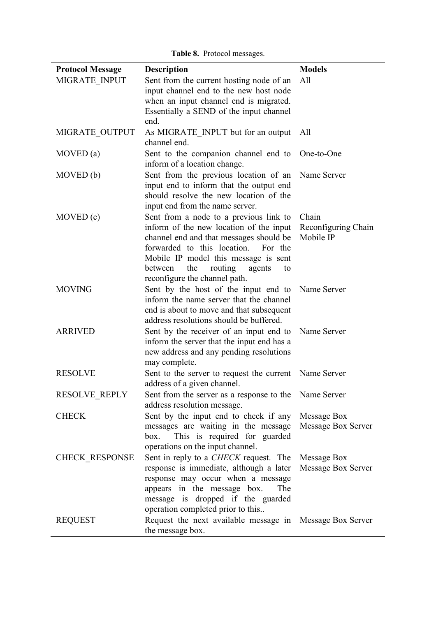**Table 8.** Protocol messages.

| <b>Protocol Message</b> | Description                                                                                                                                                                                                                                                                                  | <b>Models</b>                             |
|-------------------------|----------------------------------------------------------------------------------------------------------------------------------------------------------------------------------------------------------------------------------------------------------------------------------------------|-------------------------------------------|
| MIGRATE INPUT           | Sent from the current hosting node of an<br>input channel end to the new host node<br>when an input channel end is migrated.<br>Essentially a SEND of the input channel<br>end.                                                                                                              | All                                       |
| MIGRATE OUTPUT          | As MIGRATE INPUT but for an output<br>channel end.                                                                                                                                                                                                                                           | All                                       |
| MOVED(a)                | Sent to the companion channel end to<br>inform of a location change.                                                                                                                                                                                                                         | One-to-One                                |
| MOVED (b)               | Sent from the previous location of an<br>input end to inform that the output end<br>should resolve the new location of the<br>input end from the name server.                                                                                                                                | Name Server                               |
| MOVED (c)               | Sent from a node to a previous link to<br>inform of the new location of the input<br>channel end and that messages should be<br>forwarded to this location.<br>For the<br>Mobile IP model this message is sent<br>the<br>routing<br>between<br>agents<br>to<br>reconfigure the channel path. | Chain<br>Reconfiguring Chain<br>Mobile IP |
| <b>MOVING</b>           | Sent by the host of the input end to<br>inform the name server that the channel<br>end is about to move and that subsequent<br>address resolutions should be buffered.                                                                                                                       | Name Server                               |
| <b>ARRIVED</b>          | Sent by the receiver of an input end to<br>inform the server that the input end has a<br>new address and any pending resolutions<br>may complete.                                                                                                                                            | Name Server                               |
| <b>RESOLVE</b>          | Sent to the server to request the current<br>address of a given channel.                                                                                                                                                                                                                     | Name Server                               |
| <b>RESOLVE REPLY</b>    | Sent from the server as a response to the<br>address resolution message.                                                                                                                                                                                                                     | Name Server                               |
| <b>CHECK</b>            | Sent by the input end to check if any<br>messages are waiting in the message<br>This is required for guarded<br>box.<br>operations on the input channel.                                                                                                                                     | Message Box<br>Message Box Server         |
| <b>CHECK RESPONSE</b>   | Sent in reply to a <i>CHECK</i> request. The<br>response is immediate, although a later<br>response may occur when a message<br>appears in the message box.<br>The<br>message is dropped if the guarded<br>operation completed prior to this                                                 | Message Box<br>Message Box Server         |
| <b>REQUEST</b>          | Request the next available message in Message Box Server<br>the message box.                                                                                                                                                                                                                 |                                           |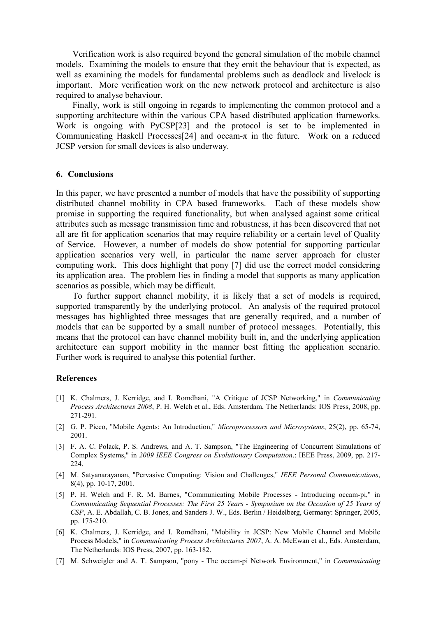Verification work is also required beyond the general simulation of the mobile channel models. Examining the models to ensure that they emit the behaviour that is expected, as well as examining the models for fundamental problems such as deadlock and livelock is important. More verification work on the new network protocol and architecture is also required to analyse behaviour.

Finally, work is still ongoing in regards to implementing the common protocol and a supporting architecture within the various CPA based distributed application frameworks. Work is ongoing with PyCSP[23] and the protocol is set to be implemented in Communicating Haskell Processes<sup>[24]</sup> and occam- $\pi$  in the future. Work on a reduced JCSP version for small devices is also underway.

#### **6. Conclusions**

In this paper, we have presented a number of models that have the possibility of supporting distributed channel mobility in CPA based frameworks. Each of these models show promise in supporting the required functionality, but when analysed against some critical attributes such as message transmission time and robustness, it has been discovered that not all are fit for application scenarios that may require reliability or a certain level of Quality of Service. However, a number of models do show potential for supporting particular application scenarios very well, in particular the name server approach for cluster computing work. This does highlight that pony [7] did use the correct model considering its application area. The problem lies in finding a model that supports as many application scenarios as possible, which may be difficult.

To further support channel mobility, it is likely that a set of models is required, supported transparently by the underlying protocol. An analysis of the required protocol messages has highlighted three messages that are generally required, and a number of models that can be supported by a small number of protocol messages. Potentially, this means that the protocol can have channel mobility built in, and the underlying application architecture can support mobility in the manner best fitting the application scenario. Further work is required to analyse this potential further.

#### **References**

- [1] K. Chalmers, J. Kerridge, and I. Romdhani, "A Critique of JCSP Networking," in *Communicating Process Architectures 2008*, P. H. Welch et al., Eds. Amsterdam, The Netherlands: IOS Press, 2008, pp. 271-291.
- [2] G. P. Picco, "Mobile Agents: An Introduction," *Microprocessors and Microsystems*, 25(2), pp. 65-74, 2001.
- [3] F. A. C. Polack, P. S. Andrews, and A. T. Sampson, "The Engineering of Concurrent Simulations of Complex Systems," in *2009 IEEE Congress on Evolutionary Computation*.: IEEE Press, 2009, pp. 217- 224.
- [4] M. Satyanarayanan, "Pervasive Computing: Vision and Challenges," *IEEE Personal Communications*, 8(4), pp. 10-17, 2001.
- [5] P. H. Welch and F. R. M. Barnes, "Communicating Mobile Processes Introducing occam-pi," in *Communicating Sequential Processes: The First 25 Years - Symposium on the Occasion of 25 Years of CSP*, A. E. Abdallah, C. B. Jones, and Sanders J. W., Eds. Berlin / Heidelberg, Germany: Springer, 2005, pp. 175-210.
- [6] K. Chalmers, J. Kerridge, and I. Romdhani, "Mobility in JCSP: New Mobile Channel and Mobile Process Models," in *Communicating Process Architectures 2007*, A. A. McEwan et al., Eds. Amsterdam, The Netherlands: IOS Press, 2007, pp. 163-182.
- [7] M. Schweigler and A. T. Sampson, "pony The occam-pi Network Environment," in *Communicating*